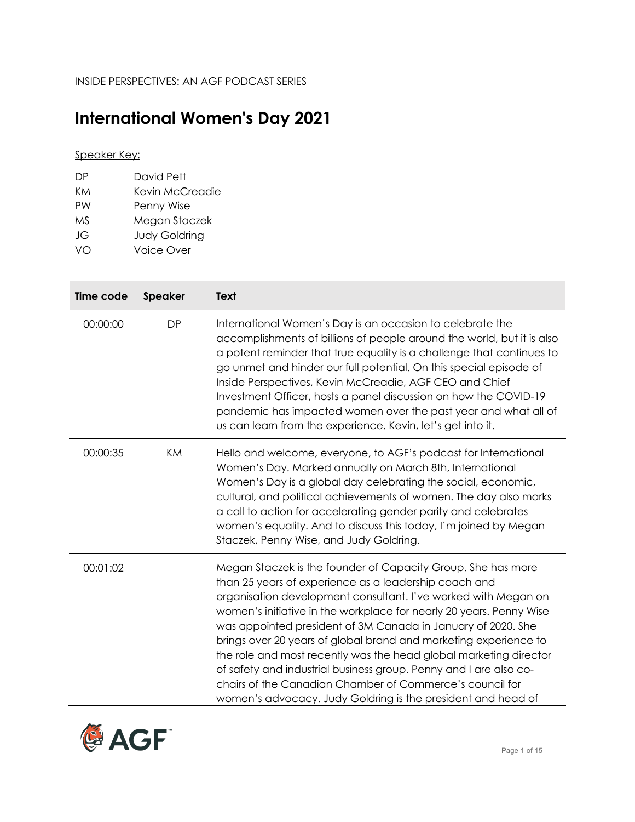## **International Women's Day 2021**

## Speaker Key:

| DР  | David Pett           |
|-----|----------------------|
| KM  | Kevin McCreadie      |
| PW  | Penny Wise           |
| M.S | Megan Staczek        |
| JG  | <b>Judy Goldring</b> |
| VN  | Voice Over           |

| Time code | <b>Speaker</b> | <b>Text</b>                                                                                                                                                                                                                                                                                                                                                                                                                                                                                                                                                                                                                                                              |
|-----------|----------------|--------------------------------------------------------------------------------------------------------------------------------------------------------------------------------------------------------------------------------------------------------------------------------------------------------------------------------------------------------------------------------------------------------------------------------------------------------------------------------------------------------------------------------------------------------------------------------------------------------------------------------------------------------------------------|
| 00:00:00  | <b>DP</b>      | International Women's Day is an occasion to celebrate the<br>accomplishments of billions of people around the world, but it is also<br>a potent reminder that true equality is a challenge that continues to<br>go unmet and hinder our full potential. On this special episode of<br>Inside Perspectives, Kevin McCreadie, AGF CEO and Chief<br>Investment Officer, hosts a panel discussion on how the COVID-19<br>pandemic has impacted women over the past year and what all of<br>us can learn from the experience. Kevin, let's get into it.                                                                                                                       |
| 00:00:35  | KM             | Hello and welcome, everyone, to AGF's podcast for International<br>Women's Day. Marked annually on March 8th, International<br>Women's Day is a global day celebrating the social, economic,<br>cultural, and political achievements of women. The day also marks<br>a call to action for accelerating gender parity and celebrates<br>women's equality. And to discuss this today, I'm joined by Megan<br>Staczek, Penny Wise, and Judy Goldring.                                                                                                                                                                                                                       |
| 00:01:02  |                | Megan Staczek is the founder of Capacity Group. She has more<br>than 25 years of experience as a leadership coach and<br>organisation development consultant. I've worked with Megan on<br>women's initiative in the workplace for nearly 20 years. Penny Wise<br>was appointed president of 3M Canada in January of 2020. She<br>brings over 20 years of global brand and marketing experience to<br>the role and most recently was the head global marketing director<br>of safety and industrial business group. Penny and I are also co-<br>chairs of the Canadian Chamber of Commerce's council for<br>women's advocacy. Judy Goldring is the president and head of |

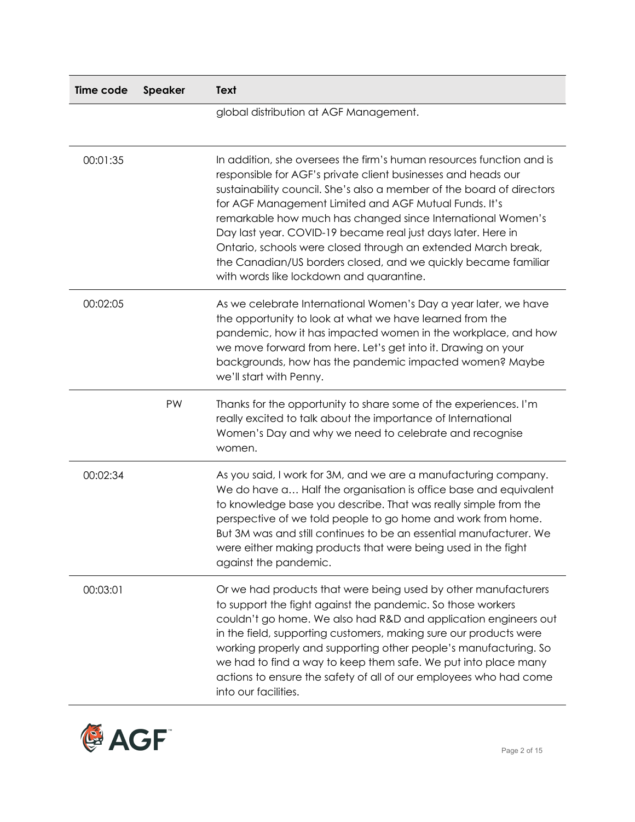| Time code | <b>Speaker</b> | Text                                                                                                                                                                                                                                                                                                                                                                                                                                                                                                                                                                                  |
|-----------|----------------|---------------------------------------------------------------------------------------------------------------------------------------------------------------------------------------------------------------------------------------------------------------------------------------------------------------------------------------------------------------------------------------------------------------------------------------------------------------------------------------------------------------------------------------------------------------------------------------|
|           |                | global distribution at AGF Management.                                                                                                                                                                                                                                                                                                                                                                                                                                                                                                                                                |
| 00:01:35  |                | In addition, she oversees the firm's human resources function and is<br>responsible for AGF's private client businesses and heads our<br>sustainability council. She's also a member of the board of directors<br>for AGF Management Limited and AGF Mutual Funds. It's<br>remarkable how much has changed since International Women's<br>Day last year. COVID-19 became real just days later. Here in<br>Ontario, schools were closed through an extended March break,<br>the Canadian/US borders closed, and we quickly became familiar<br>with words like lockdown and quarantine. |
| 00:02:05  |                | As we celebrate International Women's Day a year later, we have<br>the opportunity to look at what we have learned from the<br>pandemic, how it has impacted women in the workplace, and how<br>we move forward from here. Let's get into it. Drawing on your<br>backgrounds, how has the pandemic impacted women? Maybe<br>we'll start with Penny.                                                                                                                                                                                                                                   |
|           | PW             | Thanks for the opportunity to share some of the experiences. I'm<br>really excited to talk about the importance of International<br>Women's Day and why we need to celebrate and recognise<br>women.                                                                                                                                                                                                                                                                                                                                                                                  |
| 00:02:34  |                | As you said, I work for 3M, and we are a manufacturing company.<br>We do have a Half the organisation is office base and equivalent<br>to knowledge base you describe. That was really simple from the<br>perspective of we told people to go home and work from home.<br>But 3M was and still continues to be an essential manufacturer. We<br>were either making products that were being used in the fight<br>against the pandemic.                                                                                                                                                |
| 00:03:01  |                | Or we had products that were being used by other manufacturers<br>to support the fight against the pandemic. So those workers<br>couldn't go home. We also had R&D and application engineers out<br>in the field, supporting customers, making sure our products were<br>working properly and supporting other people's manufacturing. So<br>we had to find a way to keep them safe. We put into place many<br>actions to ensure the safety of all of our employees who had come<br>into our facilities.                                                                              |

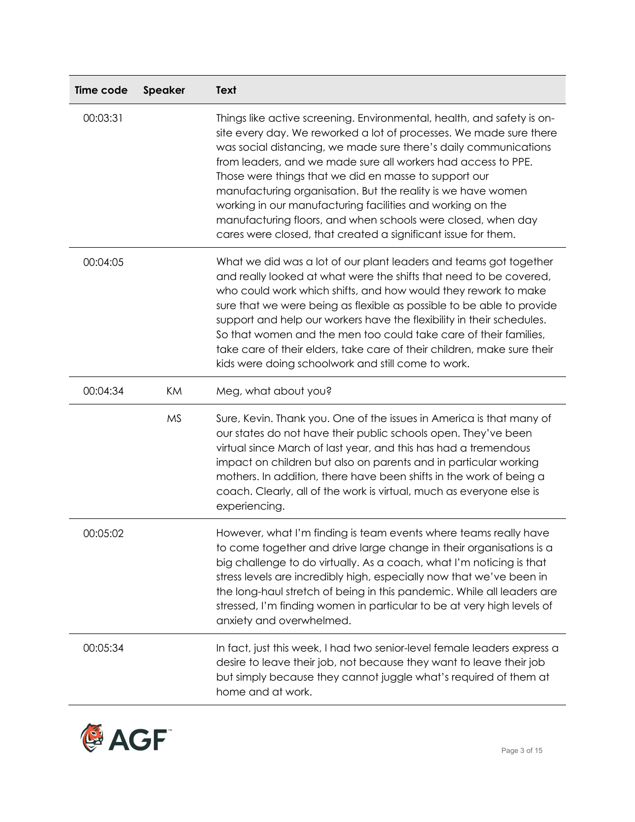| Time code | Speaker   | Text                                                                                                                                                                                                                                                                                                                                                                                                                                                                                                                                                                                                      |
|-----------|-----------|-----------------------------------------------------------------------------------------------------------------------------------------------------------------------------------------------------------------------------------------------------------------------------------------------------------------------------------------------------------------------------------------------------------------------------------------------------------------------------------------------------------------------------------------------------------------------------------------------------------|
| 00:03:31  |           | Things like active screening. Environmental, health, and safety is on-<br>site every day. We reworked a lot of processes. We made sure there<br>was social distancing, we made sure there's daily communications<br>from leaders, and we made sure all workers had access to PPE.<br>Those were things that we did en masse to support our<br>manufacturing organisation. But the reality is we have women<br>working in our manufacturing facilities and working on the<br>manufacturing floors, and when schools were closed, when day<br>cares were closed, that created a significant issue for them. |
| 00:04:05  |           | What we did was a lot of our plant leaders and teams got together<br>and really looked at what were the shifts that need to be covered,<br>who could work which shifts, and how would they rework to make<br>sure that we were being as flexible as possible to be able to provide<br>support and help our workers have the flexibility in their schedules.<br>So that women and the men too could take care of their families,<br>take care of their elders, take care of their children, make sure their<br>kids were doing schoolwork and still come to work.                                          |
| 00:04:34  | KM        | Meg, what about you?                                                                                                                                                                                                                                                                                                                                                                                                                                                                                                                                                                                      |
|           | <b>MS</b> | Sure, Kevin. Thank you. One of the issues in America is that many of<br>our states do not have their public schools open. They've been<br>virtual since March of last year, and this has had a tremendous<br>impact on children but also on parents and in particular working<br>mothers. In addition, there have been shifts in the work of being a<br>coach. Clearly, all of the work is virtual, much as everyone else is<br>experiencing.                                                                                                                                                             |
| 00:05:02  |           | However, what I'm finding is team events where teams really have<br>to come together and drive large change in their organisations is a<br>big challenge to do virtually. As a coach, what I'm noticing is that<br>stress levels are incredibly high, especially now that we've been in<br>the long-haul stretch of being in this pandemic. While all leaders are<br>stressed, I'm finding women in particular to be at very high levels of<br>anxiety and overwhelmed.                                                                                                                                   |
| 00:05:34  |           | In fact, just this week, I had two senior-level female leaders express a<br>desire to leave their job, not because they want to leave their job<br>but simply because they cannot juggle what's required of them at<br>home and at work.                                                                                                                                                                                                                                                                                                                                                                  |

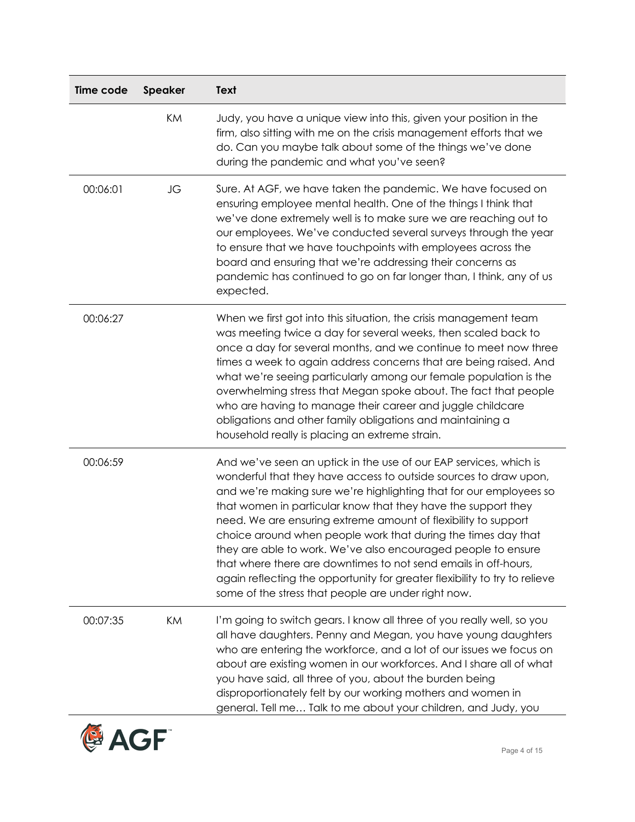| Time code | <b>Speaker</b> | <b>Text</b>                                                                                                                                                                                                                                                                                                                                                                                                                                                                                                                                                                                                                                                                              |
|-----------|----------------|------------------------------------------------------------------------------------------------------------------------------------------------------------------------------------------------------------------------------------------------------------------------------------------------------------------------------------------------------------------------------------------------------------------------------------------------------------------------------------------------------------------------------------------------------------------------------------------------------------------------------------------------------------------------------------------|
|           | KM             | Judy, you have a unique view into this, given your position in the<br>firm, also sitting with me on the crisis management efforts that we<br>do. Can you maybe talk about some of the things we've done<br>during the pandemic and what you've seen?                                                                                                                                                                                                                                                                                                                                                                                                                                     |
| 00:06:01  | JG             | Sure. At AGF, we have taken the pandemic. We have focused on<br>ensuring employee mental health. One of the things I think that<br>we've done extremely well is to make sure we are reaching out to<br>our employees. We've conducted several surveys through the year<br>to ensure that we have touchpoints with employees across the<br>board and ensuring that we're addressing their concerns as<br>pandemic has continued to go on far longer than, I think, any of us<br>expected.                                                                                                                                                                                                 |
| 00:06:27  |                | When we first got into this situation, the crisis management team<br>was meeting twice a day for several weeks, then scaled back to<br>once a day for several months, and we continue to meet now three<br>times a week to again address concerns that are being raised. And<br>what we're seeing particularly among our female population is the<br>overwhelming stress that Megan spoke about. The fact that people<br>who are having to manage their career and juggle childcare<br>obligations and other family obligations and maintaining a<br>household really is placing an extreme strain.                                                                                      |
| 00:06:59  |                | And we've seen an uptick in the use of our EAP services, which is<br>wonderful that they have access to outside sources to draw upon,<br>and we're making sure we're highlighting that for our employees so<br>that women in particular know that they have the support they<br>need. We are ensuring extreme amount of flexibility to support<br>choice around when people work that during the times day that<br>they are able to work. We've also encouraged people to ensure<br>that where there are downtimes to not send emails in off-hours,<br>again reflecting the opportunity for greater flexibility to try to relieve<br>some of the stress that people are under right now. |
| 00:07:35  | KM             | I'm going to switch gears. I know all three of you really well, so you<br>all have daughters. Penny and Megan, you have young daughters<br>who are entering the workforce, and a lot of our issues we focus on<br>about are existing women in our workforces. And I share all of what<br>you have said, all three of you, about the burden being<br>disproportionately felt by our working mothers and women in<br>general. Tell me Talk to me about your children, and Judy, you                                                                                                                                                                                                        |

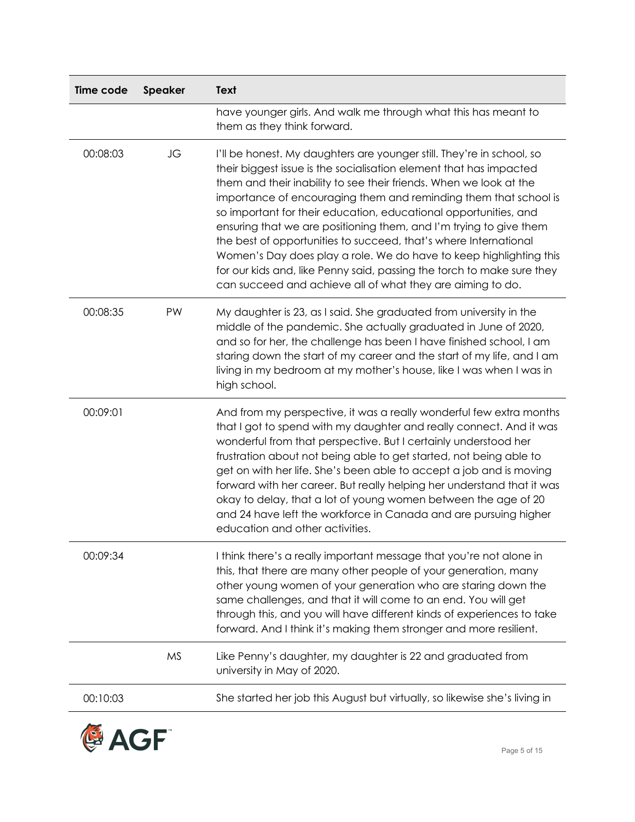| Time code | <b>Speaker</b> | Text                                                                                                                                                                                                                                                                                                                                                                                                                                                                                                                                                                                                                                                                                                              |
|-----------|----------------|-------------------------------------------------------------------------------------------------------------------------------------------------------------------------------------------------------------------------------------------------------------------------------------------------------------------------------------------------------------------------------------------------------------------------------------------------------------------------------------------------------------------------------------------------------------------------------------------------------------------------------------------------------------------------------------------------------------------|
|           |                | have younger girls. And walk me through what this has meant to<br>them as they think forward.                                                                                                                                                                                                                                                                                                                                                                                                                                                                                                                                                                                                                     |
| 00:08:03  | JG             | I'll be honest. My daughters are younger still. They're in school, so<br>their biggest issue is the socialisation element that has impacted<br>them and their inability to see their friends. When we look at the<br>importance of encouraging them and reminding them that school is<br>so important for their education, educational opportunities, and<br>ensuring that we are positioning them, and I'm trying to give them<br>the best of opportunities to succeed, that's where International<br>Women's Day does play a role. We do have to keep highlighting this<br>for our kids and, like Penny said, passing the torch to make sure they<br>can succeed and achieve all of what they are aiming to do. |
| 00:08:35  | PW             | My daughter is 23, as I said. She graduated from university in the<br>middle of the pandemic. She actually graduated in June of 2020,<br>and so for her, the challenge has been I have finished school, I am<br>staring down the start of my career and the start of my life, and I am<br>living in my bedroom at my mother's house, like I was when I was in<br>high school.                                                                                                                                                                                                                                                                                                                                     |
| 00:09:01  |                | And from my perspective, it was a really wonderful few extra months<br>that I got to spend with my daughter and really connect. And it was<br>wonderful from that perspective. But I certainly understood her<br>frustration about not being able to get started, not being able to<br>get on with her life. She's been able to accept a job and is moving<br>forward with her career. But really helping her understand that it was<br>okay to delay, that a lot of young women between the age of 20<br>and 24 have left the workforce in Canada and are pursuing higher<br>education and other activities.                                                                                                     |
| 00:09:34  |                | I think there's a really important message that you're not alone in<br>this, that there are many other people of your generation, many<br>other young women of your generation who are staring down the<br>same challenges, and that it will come to an end. You will get<br>through this, and you will have different kinds of experiences to take<br>forward. And I think it's making them stronger and more resilient.                                                                                                                                                                                                                                                                                         |
|           | <b>MS</b>      | Like Penny's daughter, my daughter is 22 and graduated from<br>university in May of 2020.                                                                                                                                                                                                                                                                                                                                                                                                                                                                                                                                                                                                                         |
| 00:10:03  |                | She started her job this August but virtually, so likewise she's living in                                                                                                                                                                                                                                                                                                                                                                                                                                                                                                                                                                                                                                        |

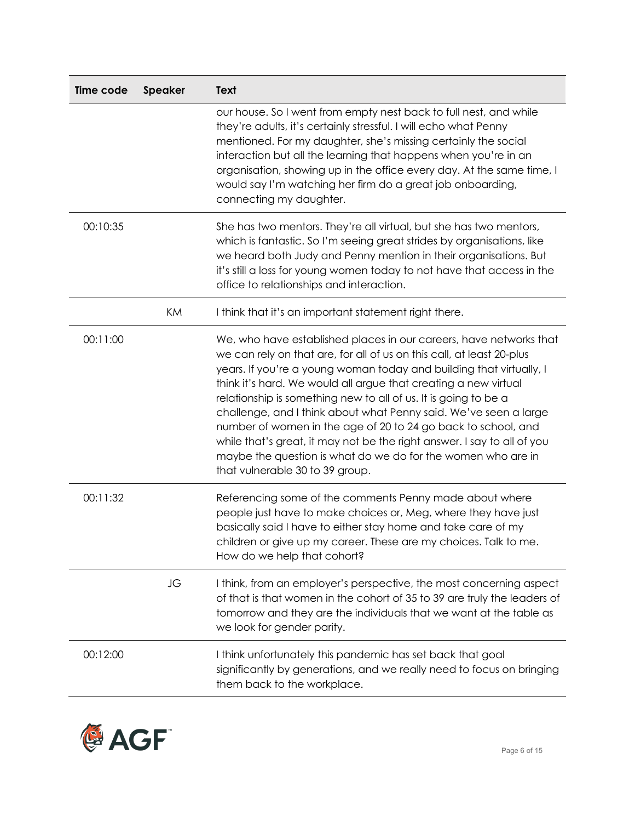| Time code | Speaker | <b>Text</b>                                                                                                                                                                                                                                                                                                                                                                                                                                                                                                                                                                                                                                                                 |
|-----------|---------|-----------------------------------------------------------------------------------------------------------------------------------------------------------------------------------------------------------------------------------------------------------------------------------------------------------------------------------------------------------------------------------------------------------------------------------------------------------------------------------------------------------------------------------------------------------------------------------------------------------------------------------------------------------------------------|
|           |         | our house. So I went from empty nest back to full nest, and while<br>they're adults, it's certainly stressful. I will echo what Penny<br>mentioned. For my daughter, she's missing certainly the social<br>interaction but all the learning that happens when you're in an<br>organisation, showing up in the office every day. At the same time, I<br>would say I'm watching her firm do a great job onboarding,<br>connecting my daughter.                                                                                                                                                                                                                                |
| 00:10:35  |         | She has two mentors. They're all virtual, but she has two mentors,<br>which is fantastic. So I'm seeing great strides by organisations, like<br>we heard both Judy and Penny mention in their organisations. But<br>it's still a loss for young women today to not have that access in the<br>office to relationships and interaction.                                                                                                                                                                                                                                                                                                                                      |
|           | KM      | I think that it's an important statement right there.                                                                                                                                                                                                                                                                                                                                                                                                                                                                                                                                                                                                                       |
| 00:11:00  |         | We, who have established places in our careers, have networks that<br>we can rely on that are, for all of us on this call, at least 20-plus<br>years. If you're a young woman today and building that virtually, I<br>think it's hard. We would all argue that creating a new virtual<br>relationship is something new to all of us. It is going to be a<br>challenge, and I think about what Penny said. We've seen a large<br>number of women in the age of 20 to 24 go back to school, and<br>while that's great, it may not be the right answer. I say to all of you<br>maybe the question is what do we do for the women who are in<br>that vulnerable 30 to 39 group. |
| 00:11:32  |         | Referencing some of the comments Penny made about where<br>people just have to make choices or, Meg, where they have just<br>basically said I have to either stay home and take care of my<br>children or give up my career. These are my choices. Talk to me.<br>How do we help that cohort?                                                                                                                                                                                                                                                                                                                                                                               |
|           | JG      | I think, from an employer's perspective, the most concerning aspect<br>of that is that women in the cohort of 35 to 39 are truly the leaders of<br>tomorrow and they are the individuals that we want at the table as<br>we look for gender parity.                                                                                                                                                                                                                                                                                                                                                                                                                         |
| 00:12:00  |         | I think unfortunately this pandemic has set back that goal<br>significantly by generations, and we really need to focus on bringing<br>them back to the workplace.                                                                                                                                                                                                                                                                                                                                                                                                                                                                                                          |

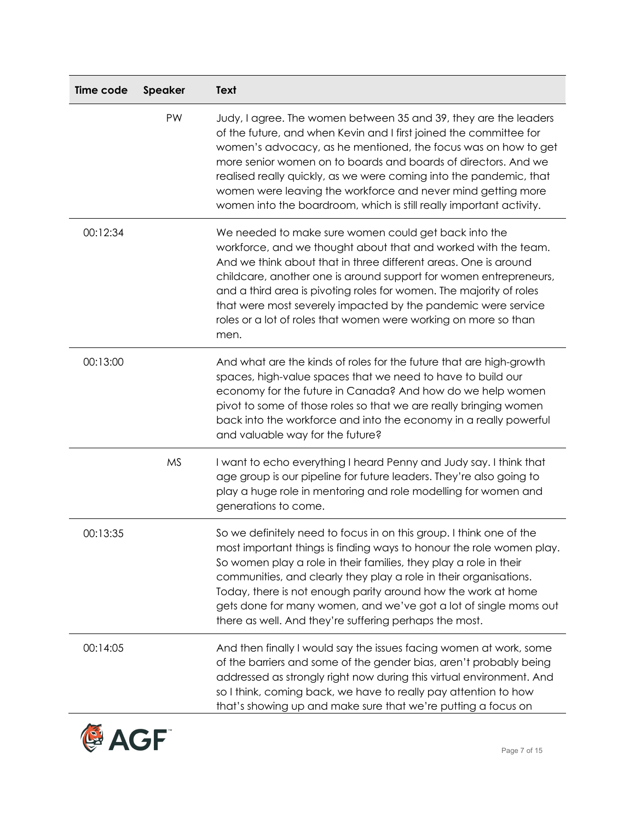| Time code | <b>Speaker</b> | <b>Text</b>                                                                                                                                                                                                                                                                                                                                                                                                                                                                             |
|-----------|----------------|-----------------------------------------------------------------------------------------------------------------------------------------------------------------------------------------------------------------------------------------------------------------------------------------------------------------------------------------------------------------------------------------------------------------------------------------------------------------------------------------|
|           | PW             | Judy, I agree. The women between 35 and 39, they are the leaders<br>of the future, and when Kevin and I first joined the committee for<br>women's advocacy, as he mentioned, the focus was on how to get<br>more senior women on to boards and boards of directors. And we<br>realised really quickly, as we were coming into the pandemic, that<br>women were leaving the workforce and never mind getting more<br>women into the boardroom, which is still really important activity. |
| 00:12:34  |                | We needed to make sure women could get back into the<br>workforce, and we thought about that and worked with the team.<br>And we think about that in three different areas. One is around<br>childcare, another one is around support for women entrepreneurs,<br>and a third area is pivoting roles for women. The majority of roles<br>that were most severely impacted by the pandemic were service<br>roles or a lot of roles that women were working on more so than<br>men.       |
| 00:13:00  |                | And what are the kinds of roles for the future that are high-growth<br>spaces, high-value spaces that we need to have to build our<br>economy for the future in Canada? And how do we help women<br>pivot to some of those roles so that we are really bringing women<br>back into the workforce and into the economy in a really powerful<br>and valuable way for the future?                                                                                                          |
|           | <b>MS</b>      | I want to echo everything I heard Penny and Judy say. I think that<br>age group is our pipeline for future leaders. They're also going to<br>play a huge role in mentoring and role modelling for women and<br>generations to come.                                                                                                                                                                                                                                                     |
| 00:13:35  |                | So we definitely need to focus in on this group. I think one of the<br>most important things is finding ways to honour the role women play.<br>So women play a role in their families, they play a role in their<br>communities, and clearly they play a role in their organisations.<br>Today, there is not enough parity around how the work at home<br>gets done for many women, and we've got a lot of single moms out<br>there as well. And they're suffering perhaps the most.    |
| 00:14:05  |                | And then finally I would say the issues facing women at work, some<br>of the barriers and some of the gender bias, aren't probably being<br>addressed as strongly right now during this virtual environment. And<br>so I think, coming back, we have to really pay attention to how<br>that's showing up and make sure that we're putting a focus on                                                                                                                                    |

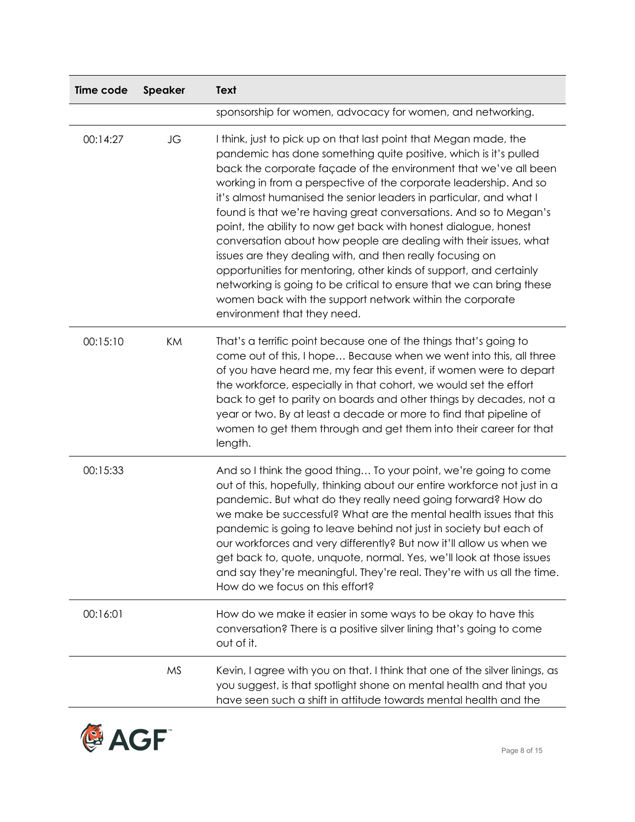| Time code | <b>Speaker</b> | <b>Text</b>                                                                                                                                                                                                                                                                                                                                                                                                                                                                                                                                                                                                                                                                                                                                                                                                                                                            |
|-----------|----------------|------------------------------------------------------------------------------------------------------------------------------------------------------------------------------------------------------------------------------------------------------------------------------------------------------------------------------------------------------------------------------------------------------------------------------------------------------------------------------------------------------------------------------------------------------------------------------------------------------------------------------------------------------------------------------------------------------------------------------------------------------------------------------------------------------------------------------------------------------------------------|
|           |                | sponsorship for women, advocacy for women, and networking.                                                                                                                                                                                                                                                                                                                                                                                                                                                                                                                                                                                                                                                                                                                                                                                                             |
| 00:14:27  | JG             | I think, just to pick up on that last point that Megan made, the<br>pandemic has done something quite positive, which is it's pulled<br>back the corporate façade of the environment that we've all been<br>working in from a perspective of the corporate leadership. And so<br>it's almost humanised the senior leaders in particular, and what I<br>found is that we're having great conversations. And so to Megan's<br>point, the ability to now get back with honest dialogue, honest<br>conversation about how people are dealing with their issues, what<br>issues are they dealing with, and then really focusing on<br>opportunities for mentoring, other kinds of support, and certainly<br>networking is going to be critical to ensure that we can bring these<br>women back with the support network within the corporate<br>environment that they need. |
| 00:15:10  | KM             | That's a terrific point because one of the things that's going to<br>come out of this, I hope Because when we went into this, all three<br>of you have heard me, my fear this event, if women were to depart<br>the workforce, especially in that cohort, we would set the effort<br>back to get to parity on boards and other things by decades, not a<br>year or two. By at least a decade or more to find that pipeline of<br>women to get them through and get them into their career for that<br>length.                                                                                                                                                                                                                                                                                                                                                          |
| 00:15:33  |                | And so I think the good thing To your point, we're going to come<br>out of this, hopefully, thinking about our entire workforce not just in a<br>pandemic. But what do they really need going forward? How do<br>we make be successful? What are the mental health issues that this<br>pandemic is going to leave behind not just in society but each of<br>our workforces and very differently? But now it'll allow us when we<br>get back to, quote, unquote, normal. Yes, we'll look at those issues<br>and say they're meaningful. They're real. They're with us all the time.<br>How do we focus on this effort?                                                                                                                                                                                                                                                  |
| 00:16:01  |                | How do we make it easier in some ways to be okay to have this<br>conversation? There is a positive silver lining that's going to come<br>out of it.                                                                                                                                                                                                                                                                                                                                                                                                                                                                                                                                                                                                                                                                                                                    |
|           | <b>MS</b>      | Kevin, I agree with you on that. I think that one of the silver linings, as<br>you suggest, is that spotlight shone on mental health and that you<br>have seen such a shift in attitude towards mental health and the                                                                                                                                                                                                                                                                                                                                                                                                                                                                                                                                                                                                                                                  |

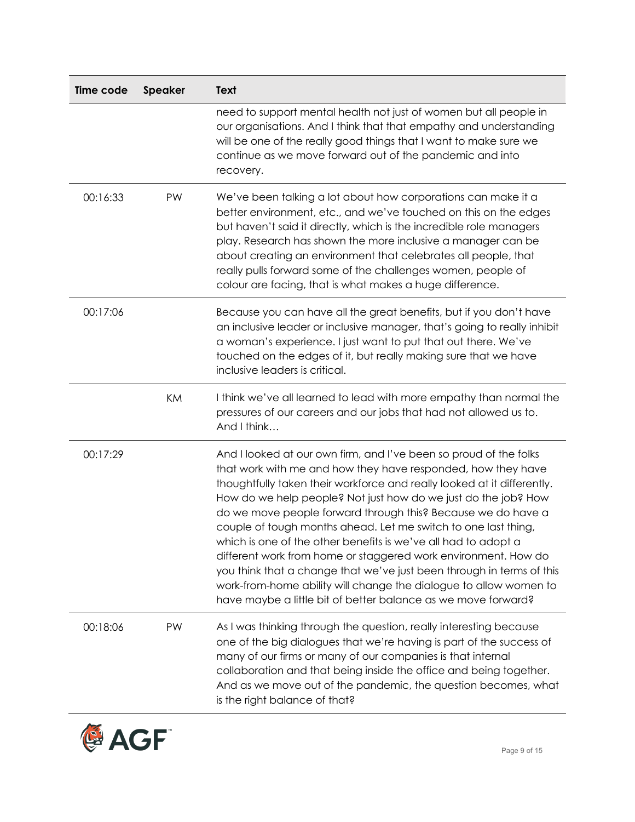| Time code | <b>Speaker</b> | <b>Text</b>                                                                                                                                                                                                                                                                                                                                                                                                                                                                                                                                                                                                                                                                                                                                                         |
|-----------|----------------|---------------------------------------------------------------------------------------------------------------------------------------------------------------------------------------------------------------------------------------------------------------------------------------------------------------------------------------------------------------------------------------------------------------------------------------------------------------------------------------------------------------------------------------------------------------------------------------------------------------------------------------------------------------------------------------------------------------------------------------------------------------------|
|           |                | need to support mental health not just of women but all people in<br>our organisations. And I think that that empathy and understanding<br>will be one of the really good things that I want to make sure we<br>continue as we move forward out of the pandemic and into<br>recovery.                                                                                                                                                                                                                                                                                                                                                                                                                                                                               |
| 00:16:33  | PW             | We've been talking a lot about how corporations can make it a<br>better environment, etc., and we've touched on this on the edges<br>but haven't said it directly, which is the incredible role managers<br>play. Research has shown the more inclusive a manager can be<br>about creating an environment that celebrates all people, that<br>really pulls forward some of the challenges women, people of<br>colour are facing, that is what makes a huge difference.                                                                                                                                                                                                                                                                                              |
| 00:17:06  |                | Because you can have all the great benefits, but if you don't have<br>an inclusive leader or inclusive manager, that's going to really inhibit<br>a woman's experience. I just want to put that out there. We've<br>touched on the edges of it, but really making sure that we have<br>inclusive leaders is critical.                                                                                                                                                                                                                                                                                                                                                                                                                                               |
|           | KM             | I think we've all learned to lead with more empathy than normal the<br>pressures of our careers and our jobs that had not allowed us to.<br>And I think                                                                                                                                                                                                                                                                                                                                                                                                                                                                                                                                                                                                             |
| 00:17:29  |                | And I looked at our own firm, and I've been so proud of the folks<br>that work with me and how they have responded, how they have<br>thoughtfully taken their workforce and really looked at it differently.<br>How do we help people? Not just how do we just do the job? How<br>do we move people forward through this? Because we do have a<br>couple of tough months ahead. Let me switch to one last thing,<br>which is one of the other benefits is we've all had to adopt a<br>different work from home or staggered work environment. How do<br>you think that a change that we've just been through in terms of this<br>work-from-home ability will change the dialogue to allow women to<br>have maybe a little bit of better balance as we move forward? |
| 00:18:06  | PW             | As I was thinking through the question, really interesting because<br>one of the big dialogues that we're having is part of the success of<br>many of our firms or many of our companies is that internal<br>collaboration and that being inside the office and being together.<br>And as we move out of the pandemic, the question becomes, what<br>is the right balance of that?                                                                                                                                                                                                                                                                                                                                                                                  |

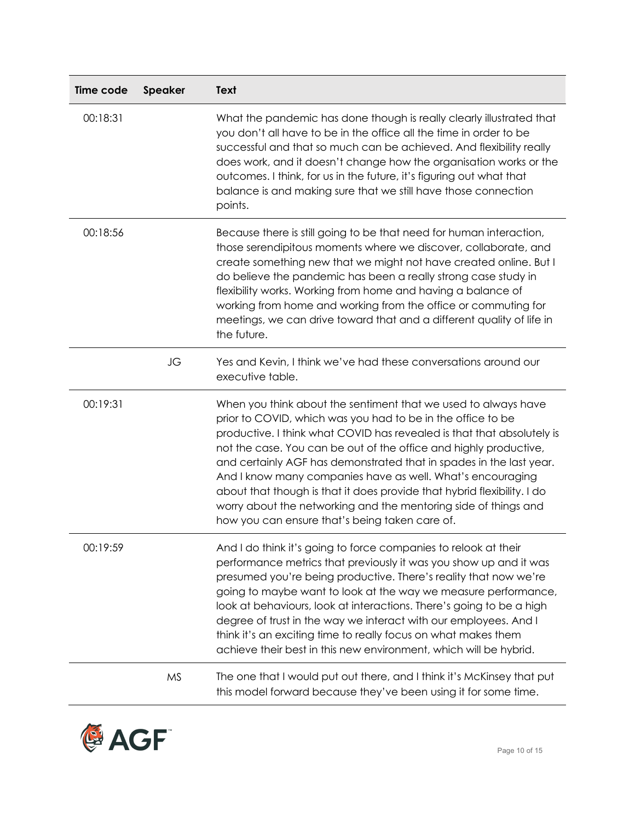| Time code | Speaker   | Text                                                                                                                                                                                                                                                                                                                                                                                                                                                                                                                                                                                                              |
|-----------|-----------|-------------------------------------------------------------------------------------------------------------------------------------------------------------------------------------------------------------------------------------------------------------------------------------------------------------------------------------------------------------------------------------------------------------------------------------------------------------------------------------------------------------------------------------------------------------------------------------------------------------------|
| 00:18:31  |           | What the pandemic has done though is really clearly illustrated that<br>you don't all have to be in the office all the time in order to be<br>successful and that so much can be achieved. And flexibility really<br>does work, and it doesn't change how the organisation works or the<br>outcomes. I think, for us in the future, it's figuring out what that<br>balance is and making sure that we still have those connection<br>points.                                                                                                                                                                      |
| 00:18:56  |           | Because there is still going to be that need for human interaction,<br>those serendipitous moments where we discover, collaborate, and<br>create something new that we might not have created online. But I<br>do believe the pandemic has been a really strong case study in<br>flexibility works. Working from home and having a balance of<br>working from home and working from the office or commuting for<br>meetings, we can drive toward that and a different quality of life in<br>the future.                                                                                                           |
|           | JG        | Yes and Kevin, I think we've had these conversations around our<br>executive table.                                                                                                                                                                                                                                                                                                                                                                                                                                                                                                                               |
| 00:19:31  |           | When you think about the sentiment that we used to always have<br>prior to COVID, which was you had to be in the office to be<br>productive. I think what COVID has revealed is that that absolutely is<br>not the case. You can be out of the office and highly productive,<br>and certainly AGF has demonstrated that in spades in the last year.<br>And I know many companies have as well. What's encouraging<br>about that though is that it does provide that hybrid flexibility. I do<br>worry about the networking and the mentoring side of things and<br>how you can ensure that's being taken care of. |
| 00:19:59  |           | And I do think it's going to force companies to relook at their<br>performance metrics that previously it was you show up and it was<br>presumed you're being productive. There's reality that now we're<br>going to maybe want to look at the way we measure performance,<br>look at behaviours, look at interactions. There's going to be a high<br>degree of trust in the way we interact with our employees. And I<br>think it's an exciting time to really focus on what makes them<br>achieve their best in this new environment, which will be hybrid.                                                     |
|           | <b>MS</b> | The one that I would put out there, and I think it's McKinsey that put<br>this model forward because they've been using it for some time.                                                                                                                                                                                                                                                                                                                                                                                                                                                                         |

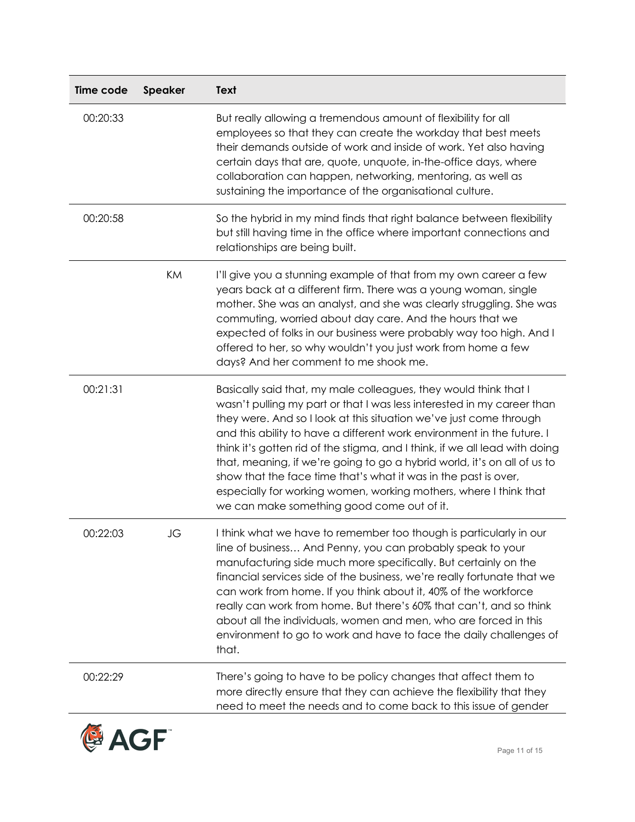| Time code | Speaker | <b>Text</b>                                                                                                                                                                                                                                                                                                                                                                                                                                                                                                                                                                                                                                 |
|-----------|---------|---------------------------------------------------------------------------------------------------------------------------------------------------------------------------------------------------------------------------------------------------------------------------------------------------------------------------------------------------------------------------------------------------------------------------------------------------------------------------------------------------------------------------------------------------------------------------------------------------------------------------------------------|
| 00:20:33  |         | But really allowing a tremendous amount of flexibility for all<br>employees so that they can create the workday that best meets<br>their demands outside of work and inside of work. Yet also having<br>certain days that are, quote, unquote, in-the-office days, where<br>collaboration can happen, networking, mentoring, as well as<br>sustaining the importance of the organisational culture.                                                                                                                                                                                                                                         |
| 00:20:58  |         | So the hybrid in my mind finds that right balance between flexibility<br>but still having time in the office where important connections and<br>relationships are being built.                                                                                                                                                                                                                                                                                                                                                                                                                                                              |
|           | KM      | I'll give you a stunning example of that from my own career a few<br>years back at a different firm. There was a young woman, single<br>mother. She was an analyst, and she was clearly struggling. She was<br>commuting, worried about day care. And the hours that we<br>expected of folks in our business were probably way too high. And I<br>offered to her, so why wouldn't you just work from home a few<br>days? And her comment to me shook me.                                                                                                                                                                                    |
| 00:21:31  |         | Basically said that, my male colleagues, they would think that I<br>wasn't pulling my part or that I was less interested in my career than<br>they were. And so I look at this situation we've just come through<br>and this ability to have a different work environment in the future. I<br>think it's gotten rid of the stigma, and I think, if we all lead with doing<br>that, meaning, if we're going to go a hybrid world, it's on all of us to<br>show that the face time that's what it was in the past is over,<br>especially for working women, working mothers, where I think that<br>we can make something good come out of it. |
| 00:22:03  | JG      | I think what we have to remember too though is particularly in our<br>line of business And Penny, you can probably speak to your<br>manufacturing side much more specifically. But certainly on the<br>financial services side of the business, we're really fortunate that we<br>can work from home. If you think about it, 40% of the workforce<br>really can work from home. But there's 60% that can't, and so think<br>about all the individuals, women and men, who are forced in this<br>environment to go to work and have to face the daily challenges of<br>that.                                                                 |
| 00:22:29  |         | There's going to have to be policy changes that affect them to<br>more directly ensure that they can achieve the flexibility that they<br>need to meet the needs and to come back to this issue of gender                                                                                                                                                                                                                                                                                                                                                                                                                                   |

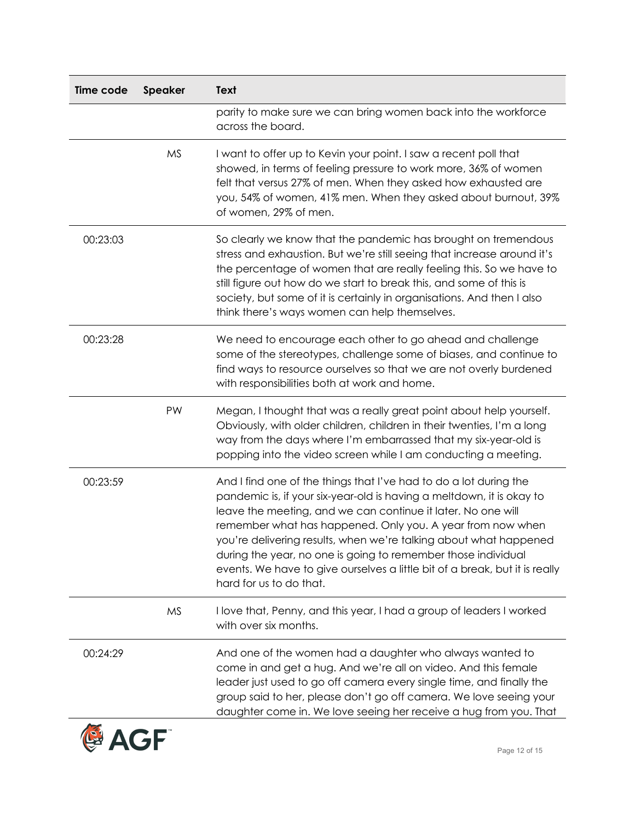| Time code        | <b>Speaker</b> | <b>Text</b>                                                                                                                                                                                                                                                                                                                                                                                                                                                                                                              |
|------------------|----------------|--------------------------------------------------------------------------------------------------------------------------------------------------------------------------------------------------------------------------------------------------------------------------------------------------------------------------------------------------------------------------------------------------------------------------------------------------------------------------------------------------------------------------|
|                  |                | parity to make sure we can bring women back into the workforce<br>across the board.                                                                                                                                                                                                                                                                                                                                                                                                                                      |
|                  | <b>MS</b>      | I want to offer up to Kevin your point. I saw a recent poll that<br>showed, in terms of feeling pressure to work more, 36% of women<br>felt that versus 27% of men. When they asked how exhausted are<br>you, 54% of women, 41% men. When they asked about burnout, 39%<br>of women, 29% of men.                                                                                                                                                                                                                         |
| 00:23:03         |                | So clearly we know that the pandemic has brought on tremendous<br>stress and exhaustion. But we're still seeing that increase around it's<br>the percentage of women that are really feeling this. So we have to<br>still figure out how do we start to break this, and some of this is<br>society, but some of it is certainly in organisations. And then I also<br>think there's ways women can help themselves.                                                                                                       |
| 00:23:28         |                | We need to encourage each other to go ahead and challenge<br>some of the stereotypes, challenge some of biases, and continue to<br>find ways to resource ourselves so that we are not overly burdened<br>with responsibilities both at work and home.                                                                                                                                                                                                                                                                    |
|                  | PW             | Megan, I thought that was a really great point about help yourself.<br>Obviously, with older children, children in their twenties, I'm a long<br>way from the days where I'm embarrassed that my six-year-old is<br>popping into the video screen while I am conducting a meeting.                                                                                                                                                                                                                                       |
| 00:23:59         |                | And I find one of the things that I've had to do a lot during the<br>pandemic is, if your six-year-old is having a meltdown, it is okay to<br>leave the meeting, and we can continue it later. No one will<br>remember what has happened. Only you. A year from now when<br>you're delivering results, when we're talking about what happened<br>during the year, no one is going to remember those individual<br>events. We have to give ourselves a little bit of a break, but it is really<br>hard for us to do that. |
|                  | <b>MS</b>      | I love that, Penny, and this year, I had a group of leaders I worked<br>with over six months.                                                                                                                                                                                                                                                                                                                                                                                                                            |
| 00:24:29         |                | And one of the women had a daughter who always wanted to<br>come in and get a hug. And we're all on video. And this female<br>leader just used to go off camera every single time, and finally the<br>group said to her, please don't go off camera. We love seeing your<br>daughter come in. We love seeing her receive a hug from you. That                                                                                                                                                                            |
| <b>&amp; AGF</b> |                | Page 12 of 15                                                                                                                                                                                                                                                                                                                                                                                                                                                                                                            |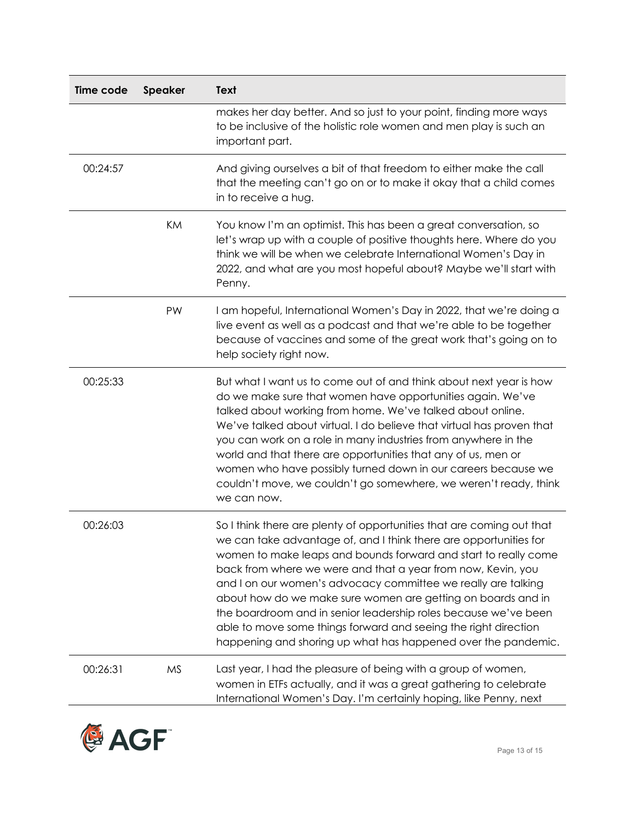| Time code | <b>Speaker</b> | Text                                                                                                                                                                                                                                                                                                                                                                                                                                                                                                                                                                                                                  |
|-----------|----------------|-----------------------------------------------------------------------------------------------------------------------------------------------------------------------------------------------------------------------------------------------------------------------------------------------------------------------------------------------------------------------------------------------------------------------------------------------------------------------------------------------------------------------------------------------------------------------------------------------------------------------|
|           |                | makes her day better. And so just to your point, finding more ways<br>to be inclusive of the holistic role women and men play is such an<br>important part.                                                                                                                                                                                                                                                                                                                                                                                                                                                           |
| 00:24:57  |                | And giving ourselves a bit of that freedom to either make the call<br>that the meeting can't go on or to make it okay that a child comes<br>in to receive a hug.                                                                                                                                                                                                                                                                                                                                                                                                                                                      |
|           | KM             | You know I'm an optimist. This has been a great conversation, so<br>let's wrap up with a couple of positive thoughts here. Where do you<br>think we will be when we celebrate International Women's Day in<br>2022, and what are you most hopeful about? Maybe we'll start with<br>Penny.                                                                                                                                                                                                                                                                                                                             |
|           | PW             | I am hopeful, International Women's Day in 2022, that we're doing a<br>live event as well as a podcast and that we're able to be together<br>because of vaccines and some of the great work that's going on to<br>help society right now.                                                                                                                                                                                                                                                                                                                                                                             |
| 00:25:33  |                | But what I want us to come out of and think about next year is how<br>do we make sure that women have opportunities again. We've<br>talked about working from home. We've talked about online.<br>We've talked about virtual. I do believe that virtual has proven that<br>you can work on a role in many industries from anywhere in the<br>world and that there are opportunities that any of us, men or<br>women who have possibly turned down in our careers because we<br>couldn't move, we couldn't go somewhere, we weren't ready, think<br>we can now.                                                        |
| 00:26:03  |                | So I think there are plenty of opportunities that are coming out that<br>we can take advantage of, and I think there are opportunities for<br>women to make leaps and bounds forward and start to really come<br>back from where we were and that a year from now, Kevin, you<br>and I on our women's advocacy committee we really are talking<br>about how do we make sure women are getting on boards and in<br>the boardroom and in senior leadership roles because we've been<br>able to move some things forward and seeing the right direction<br>happening and shoring up what has happened over the pandemic. |
| 00:26:31  | <b>MS</b>      | Last year, I had the pleasure of being with a group of women,<br>women in ETFs actually, and it was a great gathering to celebrate<br>International Women's Day. I'm certainly hoping, like Penny, next                                                                                                                                                                                                                                                                                                                                                                                                               |

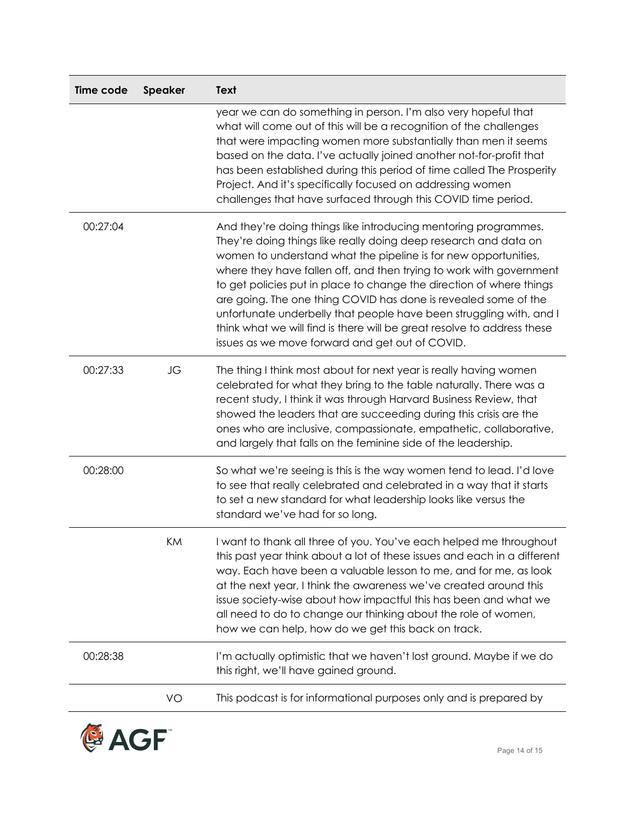| Time code | <b>Speaker</b> | <b>Text</b>                                                                                                                                                                                                                                                                                                                                                                                                                                                                                                                                                                                                                   |
|-----------|----------------|-------------------------------------------------------------------------------------------------------------------------------------------------------------------------------------------------------------------------------------------------------------------------------------------------------------------------------------------------------------------------------------------------------------------------------------------------------------------------------------------------------------------------------------------------------------------------------------------------------------------------------|
|           |                | year we can do something in person. I'm also very hopeful that<br>what will come out of this will be a recognition of the challenges<br>that were impacting women more substantially than men it seems<br>based on the data. I've actually joined another not-for-profit that<br>has been established during this period of time called The Prosperity<br>Project. And it's specifically focused on addressing women<br>challenges that have surfaced through this COVID time period.                                                                                                                                         |
| 00:27:04  |                | And they're doing things like introducing mentoring programmes.<br>They're doing things like really doing deep research and data on<br>women to understand what the pipeline is for new opportunities,<br>where they have fallen off, and then trying to work with government<br>to get policies put in place to change the direction of where things<br>are going. The one thing COVID has done is revealed some of the<br>unfortunate underbelly that people have been struggling with, and I<br>think what we will find is there will be great resolve to address these<br>issues as we move forward and get out of COVID. |
| 00:27:33  | JG             | The thing I think most about for next year is really having women<br>celebrated for what they bring to the table naturally. There was a<br>recent study, I think it was through Harvard Business Review, that<br>showed the leaders that are succeeding during this crisis are the<br>ones who are inclusive, compassionate, empathetic, collaborative,<br>and largely that falls on the feminine side of the leadership.                                                                                                                                                                                                     |
| 00:28:00  |                | So what we're seeing is this is the way women tend to lead. I'd love<br>to see that really celebrated and celebrated in a way that it starts<br>to set a new standard for what leadership looks like versus the<br>standard we've had for so long.                                                                                                                                                                                                                                                                                                                                                                            |
|           | KM             | I want to thank all three of you. You've each helped me throughout<br>this past year think about a lot of these issues and each in a different<br>way. Each have been a valuable lesson to me, and for me, as look<br>at the next year, I think the awareness we've created around this<br>issue society-wise about how impactful this has been and what we<br>all need to do to change our thinking about the role of women,<br>how we can help, how do we get this back on track.                                                                                                                                           |
| 00:28:38  |                | I'm actually optimistic that we haven't lost ground. Maybe if we do<br>this right, we'll have gained ground.                                                                                                                                                                                                                                                                                                                                                                                                                                                                                                                  |
|           | VO             | This podcast is for informational purposes only and is prepared by                                                                                                                                                                                                                                                                                                                                                                                                                                                                                                                                                            |